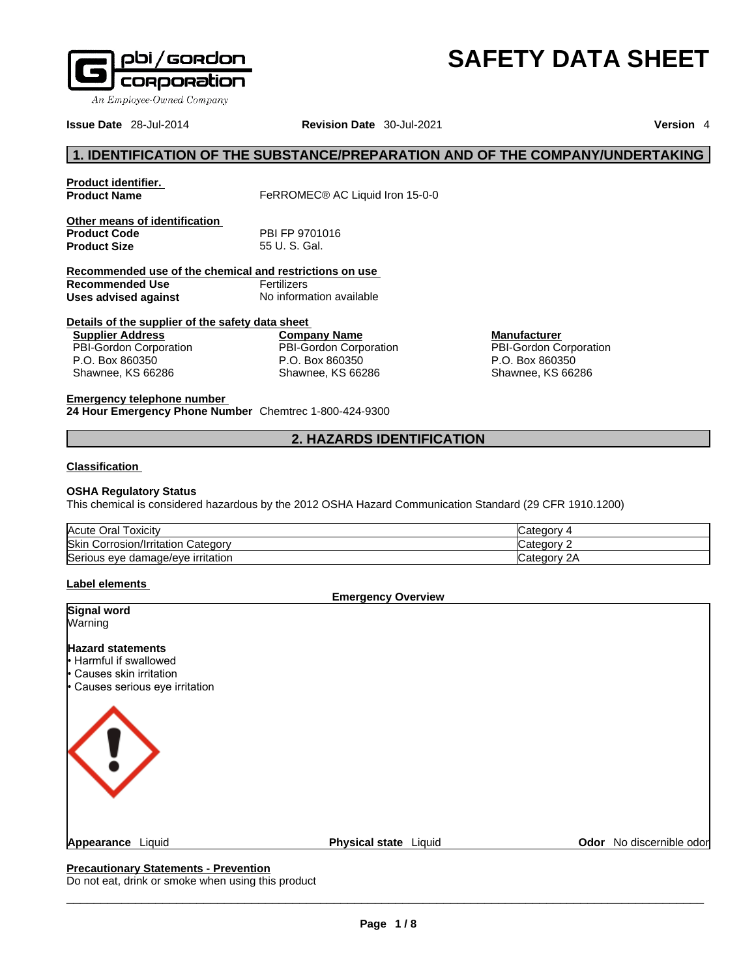

An Employee-Owned Company

**Issue Date** 28-Jul-2014 **Revision Date** 30-Jul-2021 **Version** 4

# **1. IDENTIFICATION OF THE SUBSTANCE/PREPARATION AND OF THE COMPANY/UNDERTAKING**

| Product identifier.                                     |                                             |                    |
|---------------------------------------------------------|---------------------------------------------|--------------------|
| <b>Product Name</b>                                     | FeRROMEC <sup>®</sup> AC Liquid Iron 15-0-0 |                    |
| Other means of identification                           |                                             |                    |
| <b>Product Code</b>                                     | PBI FP 9701016                              |                    |
| <b>Product Size</b>                                     | 55 U.S. Gal.                                |                    |
| Recommended use of the chemical and restrictions on use |                                             |                    |
| Recommended Use                                         | Fertilizers                                 |                    |
| Uses advised against                                    | No information available                    |                    |
| Details of the supplier of the safety data sheet        |                                             |                    |
| <b>Supplier Address</b>                                 | <b>Company Name</b>                         | <b>Manufacture</b> |
| <b>PBI-Gordon Corporation</b>                           | <b>PBI-Gordon Corporation</b>               | PBI-Gordon (       |
| P.O. Box 860350                                         | P.O. Box 860350                             | P.O. Box 860       |

**Manufacturer** PBI-Gordon Corporation P.O. Box 860350 Shawnee, KS 66286

**SAFETY DATA SHEET** 

**Emergency telephone number**

Shawnee, KS 66286

**24 Hour Emergency Phone Number** Chemtrec 1-800-424-9300

# **2. HAZARDS IDENTIFICATION**

#### **Classification**

#### **OSHA Regulatory Status**

This chemical is considered hazardous by the 2012 OSHA Hazard Communication Standard (29 CFR 1910.1200)

Shawnee, KS 66286

| Acute Oral<br>l oxicitv                         | *egory                   |
|-------------------------------------------------|--------------------------|
| <b>Skin</b><br>Corrosion/Irritation<br>Category | ∵ategory: س              |
| Serious eye damage/eye irritation               | ∵ ategoryټ<br>$\epsilon$ |

# **Label elements**

**Emergency Overview** 

| Signal word                                                                                                       |                       |                          |
|-------------------------------------------------------------------------------------------------------------------|-----------------------|--------------------------|
| Warning                                                                                                           |                       |                          |
| <b>Hazard statements</b><br>l Harmful if swallowed<br>• Causes skin irritation<br>• Causes serious eye irritation |                       |                          |
| $\langle I \rangle$                                                                                               |                       |                          |
| Appearance Liquid                                                                                                 | Physical state Liquid | Odor No discernible odor |

## **Precautionary Statements - Prevention**

Do not eat, drink or smoke when using this product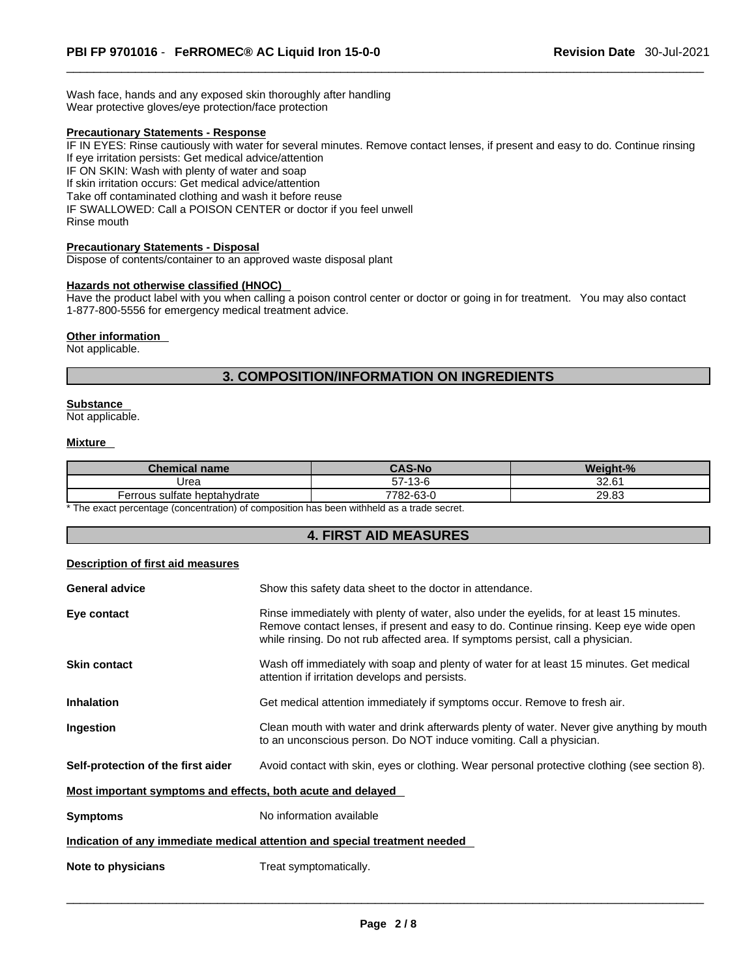Wash face, hands and any exposed skin thoroughly after handling Wear protective gloves/eye protection/face protection

## **Precautionary Statements - Response**

IF IN EYES: Rinse cautiously with water for several minutes. Remove contact lenses, if present and easy to do. Continue rinsing If eye irritation persists: Get medical advice/attention

IF ON SKIN: Wash with plenty of water and soap

If skin irritation occurs: Get medical advice/attention

Take off contaminated clothing and wash it before reuse

IF SWALLOWED: Call a POISON CENTER or doctor if you feel unwell Rinse mouth

### **Precautionary Statements - Disposal**

Dispose of contents/container to an approved waste disposal plant

#### **Hazards not otherwise classified (HNOC)**

Have the product label with you when calling a poison control center or doctor or going in for treatment. You may also contact 1-877-800-5556 for emergency medical treatment advice.

#### **Other information**

Not applicable.

# **3. COMPOSITION/INFORMATION ON INGREDIENTS**

## **Substance**

Not applicable.

#### **Mixture**

| <b>Chemical name</b>         | <b>CAS-No</b> | Weight-% |
|------------------------------|---------------|----------|
| Urea                         | 57-13-6       | 32.61    |
| Ferrous sulfate heptahydrate | 782-63-0      | 29.83    |

\* The exact percentage (concentration) of composition has been withheld as a trade secret.

# **4. FIRST AID MEASURES**

#### **Description of first aid measures**

| <b>General advice</b>                                       | Show this safety data sheet to the doctor in attendance.                                                                                                                                                                                                              |
|-------------------------------------------------------------|-----------------------------------------------------------------------------------------------------------------------------------------------------------------------------------------------------------------------------------------------------------------------|
| Eye contact                                                 | Rinse immediately with plenty of water, also under the eyelids, for at least 15 minutes.<br>Remove contact lenses, if present and easy to do. Continue rinsing. Keep eye wide open<br>while rinsing. Do not rub affected area. If symptoms persist, call a physician. |
| <b>Skin contact</b>                                         | Wash off immediately with soap and plenty of water for at least 15 minutes. Get medical<br>attention if irritation develops and persists.                                                                                                                             |
| <b>Inhalation</b>                                           | Get medical attention immediately if symptoms occur. Remove to fresh air.                                                                                                                                                                                             |
| Ingestion                                                   | Clean mouth with water and drink afterwards plenty of water. Never give anything by mouth<br>to an unconscious person. Do NOT induce vomiting. Call a physician.                                                                                                      |
| Self-protection of the first aider                          | Avoid contact with skin, eyes or clothing. Wear personal protective clothing (see section 8).                                                                                                                                                                         |
| Most important symptoms and effects, both acute and delayed |                                                                                                                                                                                                                                                                       |
| <b>Symptoms</b>                                             | No information available                                                                                                                                                                                                                                              |
|                                                             | Indication of any immediate medical attention and special treatment needed                                                                                                                                                                                            |
| Note to physicians                                          | Treat symptomatically.                                                                                                                                                                                                                                                |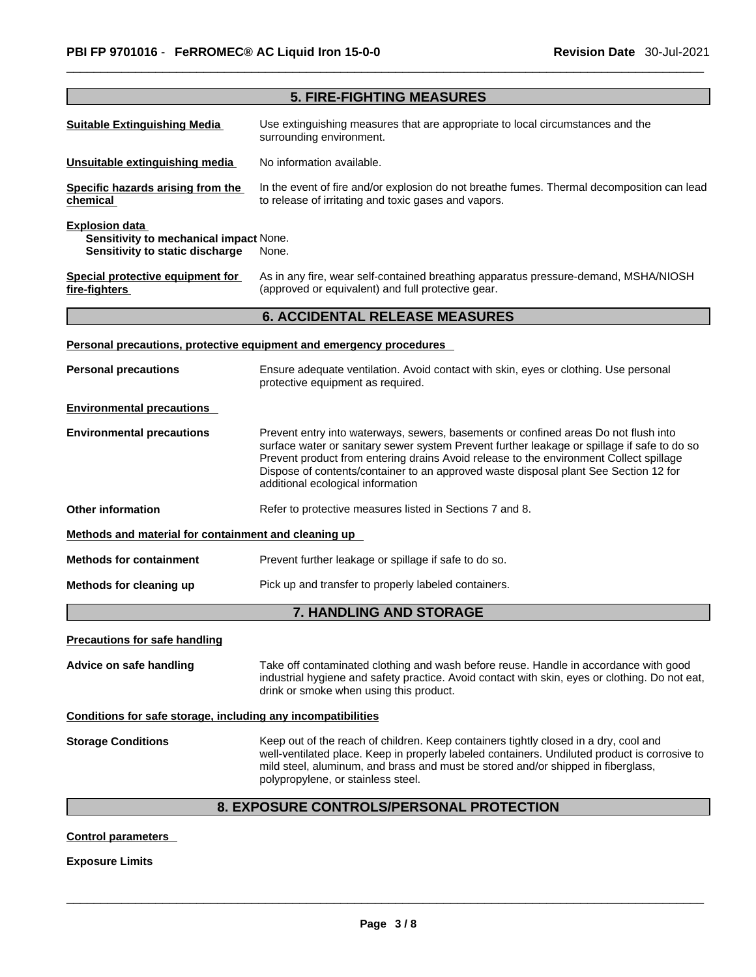|                                                                                                    | <b>5. FIRE-FIGHTING MEASURES</b>                                                                                                                                                                                                                                                                                                                                                                          |
|----------------------------------------------------------------------------------------------------|-----------------------------------------------------------------------------------------------------------------------------------------------------------------------------------------------------------------------------------------------------------------------------------------------------------------------------------------------------------------------------------------------------------|
| <b>Suitable Extinguishing Media</b>                                                                | Use extinguishing measures that are appropriate to local circumstances and the<br>surrounding environment.                                                                                                                                                                                                                                                                                                |
| Unsuitable extinguishing media                                                                     | No information available.                                                                                                                                                                                                                                                                                                                                                                                 |
| Specific hazards arising from the<br>chemical                                                      | In the event of fire and/or explosion do not breathe fumes. Thermal decomposition can lead<br>to release of irritating and toxic gases and vapors.                                                                                                                                                                                                                                                        |
| <b>Explosion data</b><br>Sensitivity to mechanical impact None.<br>Sensitivity to static discharge | None.                                                                                                                                                                                                                                                                                                                                                                                                     |
| Special protective equipment for<br>fire-fighters                                                  | As in any fire, wear self-contained breathing apparatus pressure-demand, MSHA/NIOSH<br>(approved or equivalent) and full protective gear.                                                                                                                                                                                                                                                                 |
|                                                                                                    | <b>6. ACCIDENTAL RELEASE MEASURES</b>                                                                                                                                                                                                                                                                                                                                                                     |
|                                                                                                    | Personal precautions, protective equipment and emergency procedures                                                                                                                                                                                                                                                                                                                                       |
| <b>Personal precautions</b>                                                                        | Ensure adequate ventilation. Avoid contact with skin, eyes or clothing. Use personal<br>protective equipment as required.                                                                                                                                                                                                                                                                                 |
| <b>Environmental precautions</b>                                                                   |                                                                                                                                                                                                                                                                                                                                                                                                           |
| <b>Environmental precautions</b>                                                                   | Prevent entry into waterways, sewers, basements or confined areas Do not flush into<br>surface water or sanitary sewer system Prevent further leakage or spillage if safe to do so<br>Prevent product from entering drains Avoid release to the environment Collect spillage<br>Dispose of contents/container to an approved waste disposal plant See Section 12 for<br>additional ecological information |
| <b>Other information</b>                                                                           | Refer to protective measures listed in Sections 7 and 8.                                                                                                                                                                                                                                                                                                                                                  |
| Methods and material for containment and cleaning up                                               |                                                                                                                                                                                                                                                                                                                                                                                                           |
| <b>Methods for containment</b>                                                                     | Prevent further leakage or spillage if safe to do so.                                                                                                                                                                                                                                                                                                                                                     |
| Methods for cleaning up                                                                            | Pick up and transfer to properly labeled containers.                                                                                                                                                                                                                                                                                                                                                      |
|                                                                                                    | 7. HANDLING AND STORAGE                                                                                                                                                                                                                                                                                                                                                                                   |
| <b>Precautions for safe handling</b>                                                               |                                                                                                                                                                                                                                                                                                                                                                                                           |
| Advice on safe handling                                                                            | Take off contaminated clothing and wash before reuse. Handle in accordance with good<br>industrial hygiene and safety practice. Avoid contact with skin, eyes or clothing. Do not eat,<br>drink or smoke when using this product.                                                                                                                                                                         |
| Conditions for safe storage, including any incompatibilities                                       |                                                                                                                                                                                                                                                                                                                                                                                                           |
| <b>Storage Conditions</b>                                                                          | Keep out of the reach of children. Keep containers tightly closed in a dry, cool and<br>well-ventilated place. Keep in properly labeled containers. Undiluted product is corrosive to<br>mild steel, aluminum, and brass and must be stored and/or shipped in fiberglass,<br>polypropylene, or stainless steel.                                                                                           |
|                                                                                                    | 8. EXPOSURE CONTROLS/PERSONAL PROTECTION                                                                                                                                                                                                                                                                                                                                                                  |

**Control parameters** 

**Exposure Limits**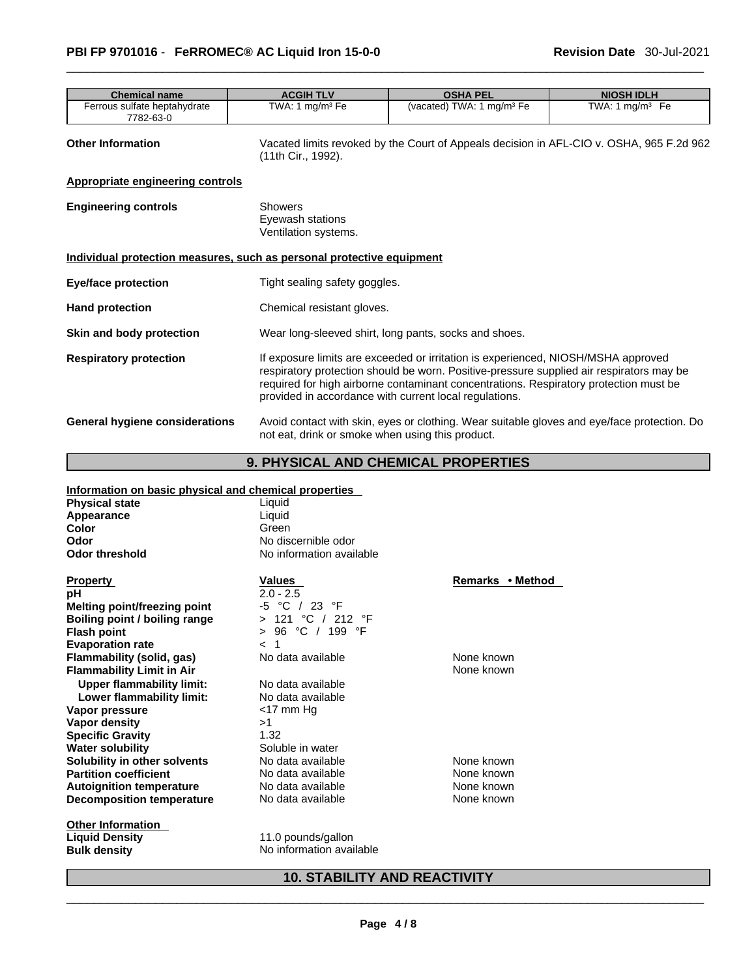| <b>Chemical name</b>                                                  | <b>ACGIH TLV</b>                                           | <b>OSHA PEL</b>                                                                                                                                                                                                                                                                                                                  | <b>NIOSH IDLH</b>           |  |
|-----------------------------------------------------------------------|------------------------------------------------------------|----------------------------------------------------------------------------------------------------------------------------------------------------------------------------------------------------------------------------------------------------------------------------------------------------------------------------------|-----------------------------|--|
| Ferrous sulfate heptahydrate<br>7782-63-0                             | TWA: 1 $mg/m3$ Fe                                          | (vacated) TWA: 1 mg/m <sup>3</sup> Fe                                                                                                                                                                                                                                                                                            | TWA: 1 mg/m <sup>3</sup> Fe |  |
| <b>Other Information</b>                                              | (11th Cir., 1992).                                         | Vacated limits revoked by the Court of Appeals decision in AFL-CIO v. OSHA, 965 F.2d 962                                                                                                                                                                                                                                         |                             |  |
| <b>Appropriate engineering controls</b>                               |                                                            |                                                                                                                                                                                                                                                                                                                                  |                             |  |
| <b>Engineering controls</b>                                           | <b>Showers</b><br>Eyewash stations<br>Ventilation systems. |                                                                                                                                                                                                                                                                                                                                  |                             |  |
| Individual protection measures, such as personal protective equipment |                                                            |                                                                                                                                                                                                                                                                                                                                  |                             |  |
| Eye/face protection                                                   |                                                            | Tight sealing safety goggles.                                                                                                                                                                                                                                                                                                    |                             |  |
| <b>Hand protection</b>                                                |                                                            | Chemical resistant gloves.                                                                                                                                                                                                                                                                                                       |                             |  |
| Skin and body protection                                              |                                                            | Wear long-sleeved shirt, long pants, socks and shoes.                                                                                                                                                                                                                                                                            |                             |  |
| <b>Respiratory protection</b>                                         |                                                            | If exposure limits are exceeded or irritation is experienced, NIOSH/MSHA approved<br>respiratory protection should be worn. Positive-pressure supplied air respirators may be<br>required for high airborne contaminant concentrations. Respiratory protection must be<br>provided in accordance with current local regulations. |                             |  |
| <b>General hygiene considerations</b>                                 | not eat, drink or smoke when using this product.           | Avoid contact with skin, eyes or clothing. Wear suitable gloves and eye/face protection. Do                                                                                                                                                                                                                                      |                             |  |

# **9. PHYSICAL AND CHEMICAL PROPERTIES**

# **Information on basic physical and chemical properties**

| <u>mionialion on basic physical and chemical properties</u> |                                    |                  |
|-------------------------------------------------------------|------------------------------------|------------------|
| <b>Physical state</b>                                       | Liquid                             |                  |
| Appearance                                                  | Liquid                             |                  |
| Color                                                       | Green                              |                  |
| Odor                                                        | No discernible odor                |                  |
| <b>Odor threshold</b>                                       | No information available           |                  |
| <b>Property</b>                                             | Values                             | Remarks • Method |
| рH                                                          | $2.0 - 2.5$                        |                  |
| Melting point/freezing point                                | -5 °C / 23 °F                      |                  |
| Boiling point / boiling range                               | 121 °C / 212 °F<br>$\geq$          |                  |
| <b>Flash point</b>                                          | 96 °C / 199 °F<br>$\geq$           |                  |
| <b>Evaporation rate</b>                                     | $\blacktriangleleft$<br>$\epsilon$ |                  |
| Flammability (solid, gas)                                   | No data available                  | None known       |
| <b>Flammability Limit in Air</b>                            |                                    | None known       |
| <b>Upper flammability limit:</b>                            | No data available                  |                  |
| Lower flammability limit:                                   | No data available                  |                  |
| Vapor pressure                                              | $<$ 17 mm Hg                       |                  |
| Vapor density                                               | >1                                 |                  |
| <b>Specific Gravity</b>                                     | 1.32                               |                  |
| <b>Water solubility</b>                                     | Soluble in water                   |                  |
| Solubility in other solvents                                | No data available                  | None known       |
| <b>Partition coefficient</b>                                | No data available                  | None known       |
| <b>Autoignition temperature</b>                             | No data available                  | None known       |
| Decomposition temperature                                   | No data available                  | None known       |
| <b>Other Information</b>                                    |                                    |                  |
| Liauid Donoity                                              | 11 A nounde/anllon                 |                  |

**Liquid Density Constructs** 11.0 pounds/gallon<br> **Bulk density Constructs No** information avail **No information available**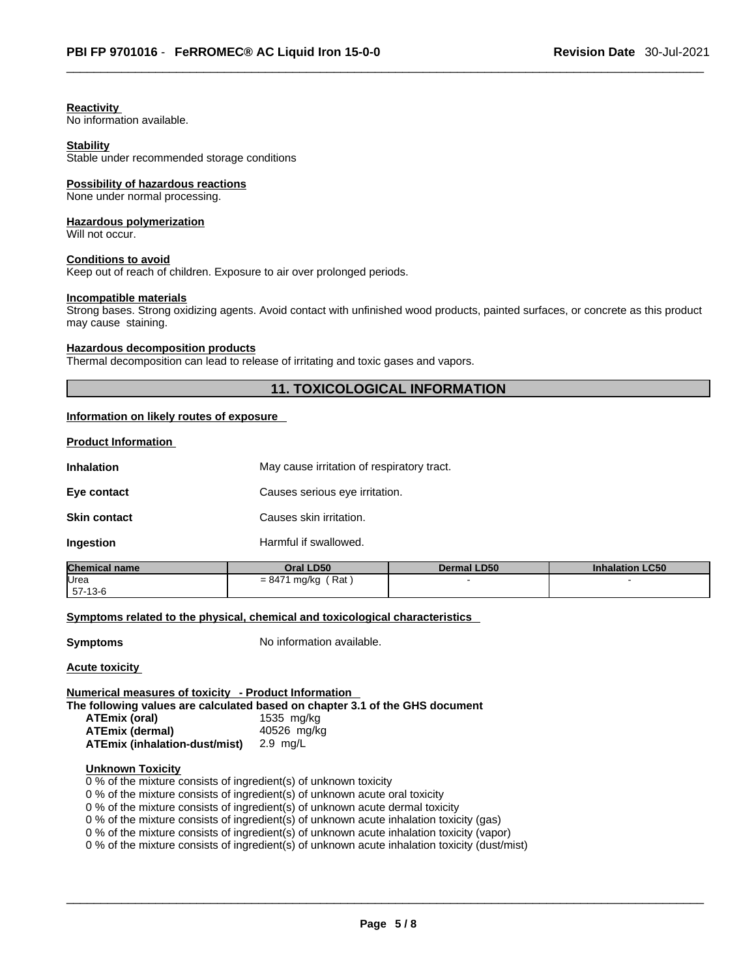## **Reactivity**

No information available.

#### **Stability**

Stable under recommended storage conditions

#### **Possibility of hazardous reactions**

None under normal processing.

# **Hazardous polymerization**

Will not occur.

#### **Conditions to avoid**

Keep out of reach of children. Exposure to air over prolonged periods.

## **Incompatible materials**

Strong bases. Strong oxidizing agents. Avoid contact with unfinished wood products, painted surfaces, or concrete as this product may cause staining.

## **Hazardous decomposition products**

Thermal decomposition can lead to release of irritating and toxic gases and vapors.

# **11. TOXICOLOGICAL INFORMATION**

#### **Information on likely routes of exposure**

**Product Information**

| <b>Inhalation</b>   | May cause irritation of respiratory tract. |
|---------------------|--------------------------------------------|
| Eye contact         | Causes serious eye irritation.             |
| <b>Skin contact</b> | Causes skin irritation.                    |
| Ingestion           | Harmful if swallowed.                      |

| <b>Chemical name</b> | Oral LD50             | <b>Dermal LD50</b> | <b>Inhalation LC50</b> |
|----------------------|-----------------------|--------------------|------------------------|
| Urea                 | (Rat)<br>= 8471 mg/kg |                    |                        |
| $157-13-6$           |                       |                    |                        |

# **Symptoms** related to the physical, chemical and toxicological characteristics

**Symptoms** No information available.

**Acute toxicity**

## **Numerical measures of toxicity - Product Information**

**The following values are calculated based on chapter 3.1 of the GHS document**

| ATEmix (oral)                 | 1535 mg/kg  |
|-------------------------------|-------------|
| ATEmix (dermal)               | 40526 mg/kg |
| ATEmix (inhalation-dust/mist) | 2.9 ma/L    |

## **Unknown Toxicity**

0 % of the mixture consists of ingredient(s) of unknown toxicity

0 % of the mixture consists of ingredient(s) of unknown acute oral toxicity

0 % of the mixture consists of ingredient(s) of unknown acute dermal toxicity

0 % of the mixture consists of ingredient(s) of unknown acute inhalation toxicity (gas)

0 % of the mixture consists of ingredient(s) of unknown acute inhalation toxicity (vapor)

0 % of the mixture consists of ingredient(s) of unknown acute inhalation toxicity (dust/mist)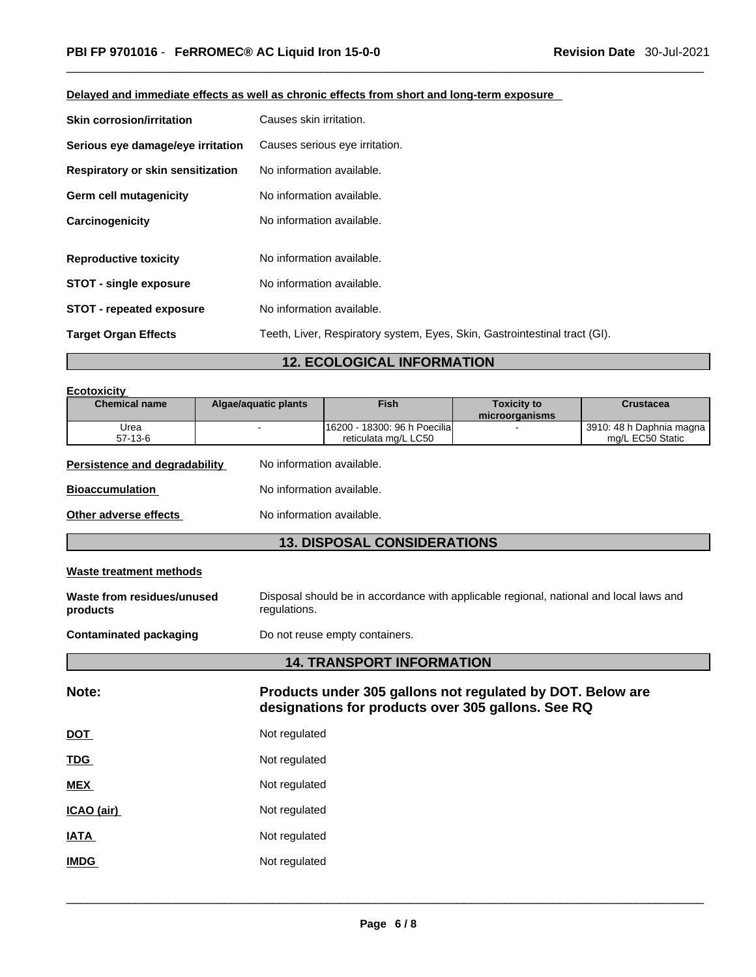| <b>Skin corrosion/irritation</b>  | Causes skin irritation.                                                    |
|-----------------------------------|----------------------------------------------------------------------------|
| Serious eye damage/eye irritation | Causes serious eye irritation.                                             |
| Respiratory or skin sensitization | No information available.                                                  |
| Germ cell mutagenicity            | No information available.                                                  |
| Carcinogenicity                   | No information available.                                                  |
|                                   |                                                                            |
| <b>Reproductive toxicity</b>      | No information available.                                                  |
| <b>STOT - single exposure</b>     | No information available.                                                  |
| <b>STOT - repeated exposure</b>   | No information available.                                                  |
| <b>Target Organ Effects</b>       | Teeth, Liver, Respiratory system, Eyes, Skin, Gastrointestinal tract (GI). |

# **Delayed and immediate effects as well as chronic effects from short and long-term exposure**

# **12. ECOLOGICAL INFORMATION**

| <b>Ecotoxicity</b>                     |                                |                                                                                                                  |                                      |                                              |  |
|----------------------------------------|--------------------------------|------------------------------------------------------------------------------------------------------------------|--------------------------------------|----------------------------------------------|--|
| <b>Chemical name</b>                   | <b>Algae/aquatic plants</b>    | Fish                                                                                                             | <b>Toxicity to</b><br>microorganisms | <b>Crustacea</b>                             |  |
| Urea<br>$57-13-6$                      |                                | 16200 - 18300: 96 h Poecilia<br>reticulata mg/L LC50                                                             |                                      | 3910: 48 h Daphnia magna<br>mg/L EC50 Static |  |
| <b>Persistence and degradability</b>   | No information available.      |                                                                                                                  |                                      |                                              |  |
| <b>Bioaccumulation</b>                 | No information available.      |                                                                                                                  |                                      |                                              |  |
| Other adverse effects                  |                                | No information available.                                                                                        |                                      |                                              |  |
|                                        |                                | <b>13. DISPOSAL CONSIDERATIONS</b>                                                                               |                                      |                                              |  |
| <b>Waste treatment methods</b>         |                                |                                                                                                                  |                                      |                                              |  |
| Waste from residues/unused<br>products | regulations.                   | Disposal should be in accordance with applicable regional, national and local laws and                           |                                      |                                              |  |
| <b>Contaminated packaging</b>          | Do not reuse empty containers. |                                                                                                                  |                                      |                                              |  |
|                                        |                                | <b>14. TRANSPORT INFORMATION</b>                                                                                 |                                      |                                              |  |
| Note:                                  |                                | Products under 305 gallons not regulated by DOT. Below are<br>designations for products over 305 gallons. See RQ |                                      |                                              |  |
| <u>DOT</u>                             |                                | Not regulated                                                                                                    |                                      |                                              |  |
| Not regulated<br><b>TDG</b>            |                                |                                                                                                                  |                                      |                                              |  |
| MEX                                    | Not regulated                  |                                                                                                                  |                                      |                                              |  |
| ICAO (air)                             | Not regulated                  |                                                                                                                  |                                      |                                              |  |
| <b>IATA</b>                            | Not regulated                  |                                                                                                                  |                                      |                                              |  |
| Not regulated<br><b>IMDG</b>           |                                |                                                                                                                  |                                      |                                              |  |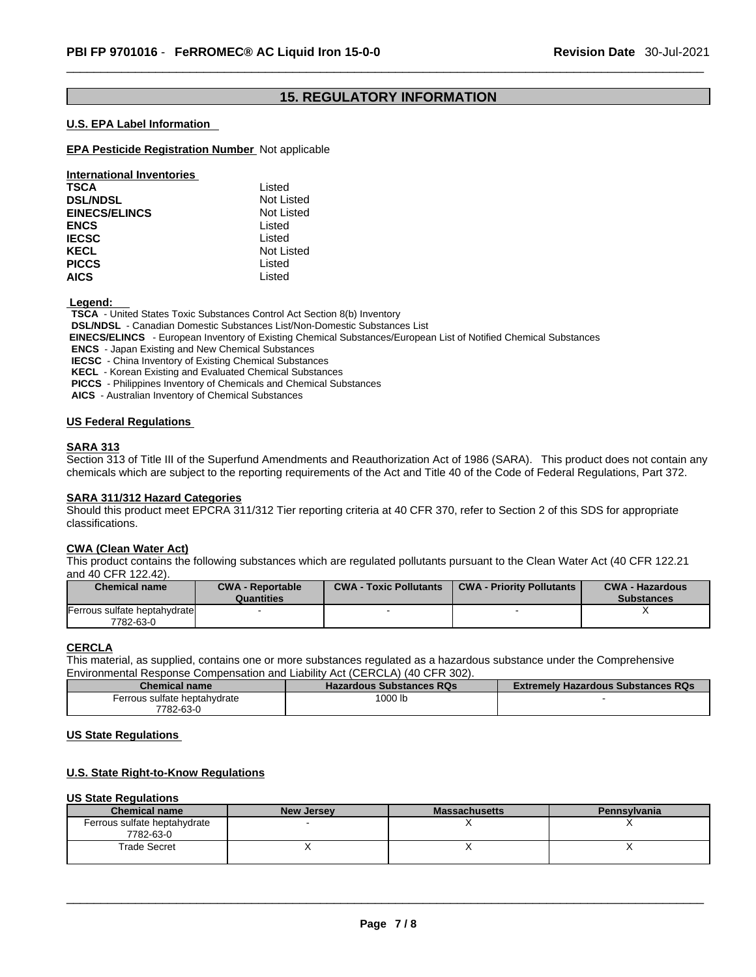# **15. REGULATORY INFORMATION**

## **U.S. EPA Label Information**

## **EPA Pesticide Registration Number** Not applicable

| <b>International Inventories</b> |                   |
|----------------------------------|-------------------|
| <b>TSCA</b>                      | Listed            |
| <b>DSL/NDSL</b>                  | <b>Not Listed</b> |
| <b>EINECS/ELINCS</b>             | <b>Not Listed</b> |
| <b>ENCS</b>                      | Listed            |
| <b>IECSC</b>                     | Listed            |
| <b>KECL</b>                      | Not Listed        |
| <b>PICCS</b>                     | Listed            |
| <b>AICS</b>                      | Listed            |

 **Legend:** 

**TSCA** - United States Toxic Substances Control Act Section 8(b) Inventory

**DSL/NDSL** - Canadian Domestic Substances List/Non-Domestic Substances List

 **EINECS/ELINCS** - European Inventory of Existing Chemical Substances/European List of Notified Chemical Substances

**ENCS** - Japan Existing and New Chemical Substances

**IECSC** - China Inventory of Existing Chemical Substances

**KECL** - Korean Existing and Evaluated Chemical Substances

**PICCS** - Philippines Inventory of Chemicals and Chemical Substances

**AICS** - Australian Inventory of Chemical Substances

## **US Federal Regulations**

#### **SARA 313**

Section 313 of Title III of the Superfund Amendments and Reauthorization Act of 1986 (SARA). This product does not contain any chemicals which are subject to the reporting requirements of the Act and Title 40 of the Code of Federal Regulations, Part 372.

# **SARA 311/312 Hazard Categories**

Should this product meet EPCRA 311/312 Tier reporting criteria at 40 CFR 370, refer to Section 2 of this SDS for appropriate classifications.

#### **CWA** (Clean Water Act)

This product contains the following substances which are regulated pollutants pursuant to the Clean Water Act (40 CFR 122.21 and 40 CFR 122.42).

| <b>Chemical name</b>         | <b>CWA - Reportable</b><br>Quantities | <b>CWA - Toxic Pollutants</b> | <b>CWA - Priority Pollutants</b> | <b>CWA - Hazardous</b><br><b>Substances</b> |
|------------------------------|---------------------------------------|-------------------------------|----------------------------------|---------------------------------------------|
| Ferrous sulfate heptahydrate |                                       |                               |                                  |                                             |
| 7782-63-0                    |                                       |                               |                                  |                                             |

## **CERCLA**

This material, as supplied, contains one or more substances regulated as a hazardous substance under the Comprehensive Environmental Response Compensation and Liability Act (CERCLA) (40 CFR 302).

| <b>Chemical name</b>         | <b>Hazardous Substances RQs</b> | <b>Extremely Hazardous Substances RQs</b> |
|------------------------------|---------------------------------|-------------------------------------------|
| Ferrous sulfate heptahydrate | 1000 lb                         |                                           |
| 7782-63-0                    |                                 |                                           |

## **US State Regulations**

# **U.S. State Right-to-Know Regulations**

#### **US State Regulations**

| <b>Chemical name</b>                      | <b>New Jersey</b> | <b>Massachusetts</b> | Pennsylvania |
|-------------------------------------------|-------------------|----------------------|--------------|
| Ferrous sulfate heptahydrate<br>7782-63-0 |                   |                      |              |
| Trade Secret                              |                   |                      |              |